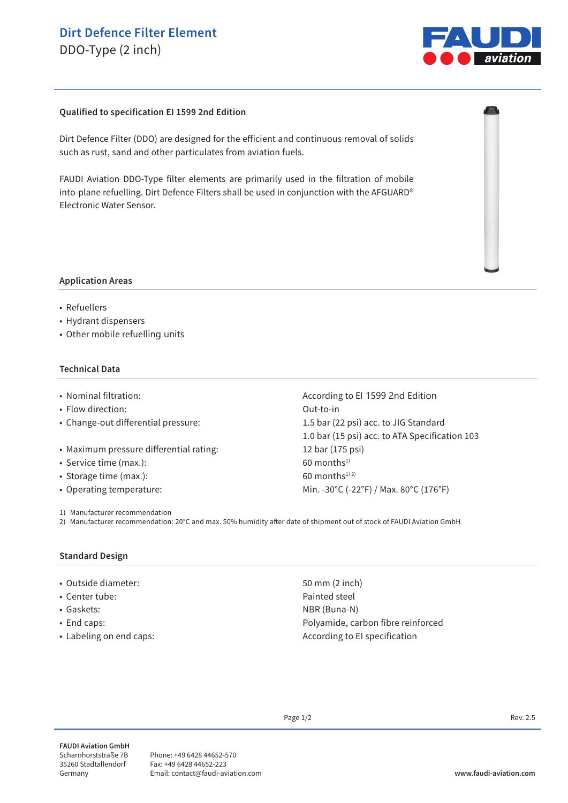# **Dirt Defence Filter Element**

DDO-Type (2 inch)



## **Qualified to specification EI 1599 2nd Edition**

Dirt Defence Filter (DDO) are designed for the efficient and continuous removal of solids such as rust, sand and other particulates from aviation fuels.

FAUDI Aviation DDO-Type filter elements are primarily used in the filtration of mobile into-plane refuelling. Dirt Defence Filters shall be used in conjunction with the AFGUARD® Electronic Water Sensor.



• Refuellers

• Hydrant dispensers

• Other mobile refuelling units

## **Technical Data**

- 
- Flow direction: Out-to-in
- 
- Maximum pressure differential rating: 12 bar (175 psi)
- Service time (max.): 60 months<sup>1)</sup>
- Storage time (max.):  $60$  months<sup>1) 2)</sup>
- 

1) Manufacturer recommendation

• Nominal filtration:  $\blacksquare$  According to EI 1599 2nd Edition • Change-out differential pressure: 1.5 bar (22 psi) acc. to JIG Standard 1.0 bar (15 psi) acc. to ATA Specification 103 • Operating temperature: Min. -30°C (-22°F) / Max. 80°C (176°F)

2) Manufacturer recommendation: 20°C and max. 50% humidity after date of shipment out of stock of FAUDI Aviation GmbH

#### **Standard Design**

- Outside diameter: 50 mm (2 inch)
- 
- 
- 
- 

• Center tube:  $\blacksquare$ • Gaskets: NBR (Buna-N) • End caps: example a polyamide, carbon fibre reinforced • Labeling on end caps:  $\overline{\phantom{a}}$  and  $\overline{\phantom{a}}$  and  $\overline{\phantom{a}}$  are  $\overline{\phantom{a}}$  are  $\overline{\phantom{a}}$  are  $\overline{\phantom{a}}$  are  $\overline{\phantom{a}}$  are  $\overline{\phantom{a}}$  are  $\overline{\phantom{a}}$  are  $\overline{\phantom{a}}$  are  $\overline{\phantom{a}}$  are  $\overline{\phantom{a}}$  are  $\overline{\phant$ 

Page  $1/2$  Rev. 2.5